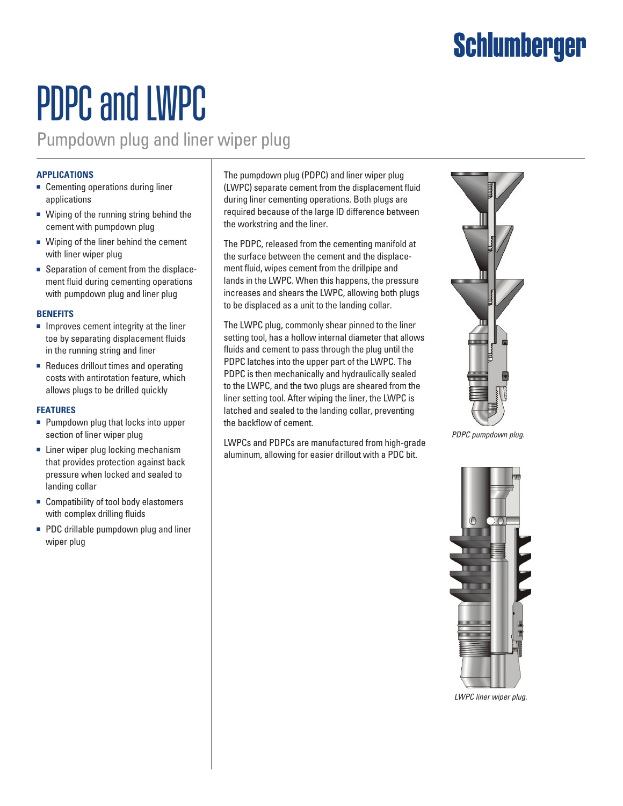## **Schlumberger**

# PDPC and LWPC

Pumpdown plug and liner wiper plug

#### **Applications**

- Cementing operations during liner applications
- Wiping of the running string behind the cement with pumpdown plug
- Wiping of the liner behind the cement with liner wiper plug
- Separation of cement from the displacement fluid during cementing operations with pumpdown plug and liner plug

#### **Benefits**

- Improves cement integrity at the liner toe by separating displacement fluids in the running string and liner
- Reduces drillout times and operating costs with antirotation feature, which allows plugs to be drilled quickly

#### **Features**

- Pumpdown plug that locks into upper section of liner wiper plug
- Liner wiper plug locking mechanism that provides protection against back pressure when locked and sealed to landing collar
- Compatibility of tool body elastomers with complex drilling fluids
- PDC drillable pumpdown plug and liner wiper plug

The pumpdown plug (PDPC) and liner wiper plug (LWPC) separate cement from the displacement fluid during liner cementing operations. Both plugs are required because of the large ID difference between the workstring and the liner.

The PDPC, released from the cementing manifold at the surface between the cement and the displacement fluid, wipes cement from the drillpipe and lands in the LWPC. When this happens, the pressure increases and shears the LWPC, allowing both plugs to be displaced as a unit to the landing collar.

The LWPC plug, commonly shear pinned to the liner setting tool, has a hollow internal diameter that allows fluids and cement to pass through the plug until the PDPC latches into the upper part of the LWPC. The PDPC is then mechanically and hydraulically sealed to the LWPC, and the two plugs are sheared from the liner setting tool. After wiping the liner, the LWPC is latched and sealed to the landing collar, preventing the backflow of cement.

LWPCs and PDPCs are manufactured from high-grade aluminum, allowing for easier drillout with a PDC bit.



*PDPC pumpdown plug.*



*LWPC liner wiper plug.*